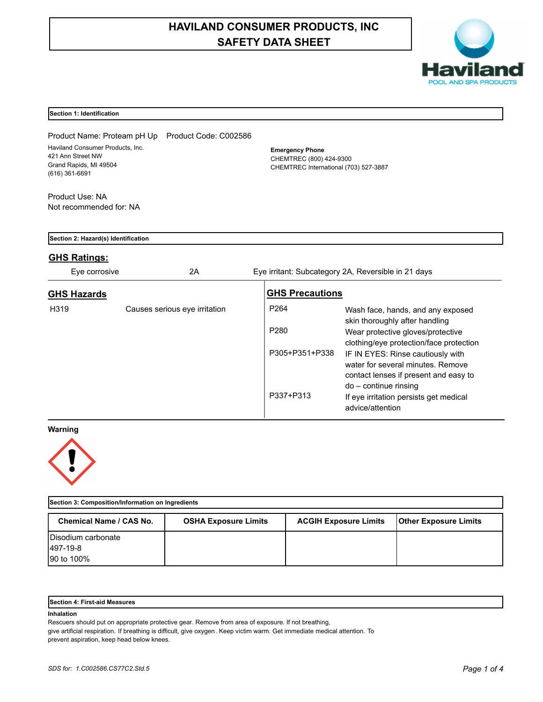# **HAVILAND CONSUMER PRODUCTS, INC SAFETY DATA SHEET**



# **Section 1: Identification**

Product Name: Proteam pH Up Product Code: C002586 Haviland Consumer Products, Inc. 421 Ann Street NW Grand Rapids, MI 49504 (616) 361-6691

**Emergency Phone** CHEMTREC (800) 424-9300 CHEMTREC International (703) 527-3887

Product Use: NA Not recommended for: NA

| Section 2: Hazard(s) Identification |                               |                        |                                                                                                                                            |  |  |  |
|-------------------------------------|-------------------------------|------------------------|--------------------------------------------------------------------------------------------------------------------------------------------|--|--|--|
| <b>GHS Ratings:</b>                 |                               |                        |                                                                                                                                            |  |  |  |
| Eye corrosive                       | 2A                            |                        | Eye irritant: Subcategory 2A, Reversible in 21 days                                                                                        |  |  |  |
| <b>GHS Hazards</b>                  |                               | <b>GHS Precautions</b> |                                                                                                                                            |  |  |  |
| H <sub>3</sub> 19                   | Causes serious eye irritation | P <sub>264</sub>       | Wash face, hands, and any exposed<br>skin thoroughly after handling                                                                        |  |  |  |
|                                     |                               | P <sub>280</sub>       | Wear protective gloves/protective<br>clothing/eye protection/face protection                                                               |  |  |  |
|                                     |                               | P305+P351+P338         | IF IN EYES: Rinse cautiously with<br>water for several minutes. Remove<br>contact lenses if present and easy to<br>$do$ – continue rinsing |  |  |  |
|                                     |                               | P337+P313              | If eye irritation persists get medical<br>advice/attention                                                                                 |  |  |  |

**Warning**



| Section 3: Composition/Information on Ingredients |                             |                              |                              |  |  |  |
|---------------------------------------------------|-----------------------------|------------------------------|------------------------------|--|--|--|
| <b>Chemical Name / CAS No.</b>                    | <b>OSHA Exposure Limits</b> | <b>ACGIH Exposure Limits</b> | <b>Other Exposure Limits</b> |  |  |  |
| <b>IDisodium carbonate</b>                        |                             |                              |                              |  |  |  |
| <b>I497-19-8</b>                                  |                             |                              |                              |  |  |  |
| 90 to 100%                                        |                             |                              |                              |  |  |  |

### **Section 4: First-aid Measures**

### **Inhalation**

Rescuers should put on appropriate protective gear. Remove from area of exposure. If not breathing, give artificial respiration. If breathing is difficult, give oxygen. Keep victim warm. Get immediate medical attention. To prevent aspiration, keep head below knees.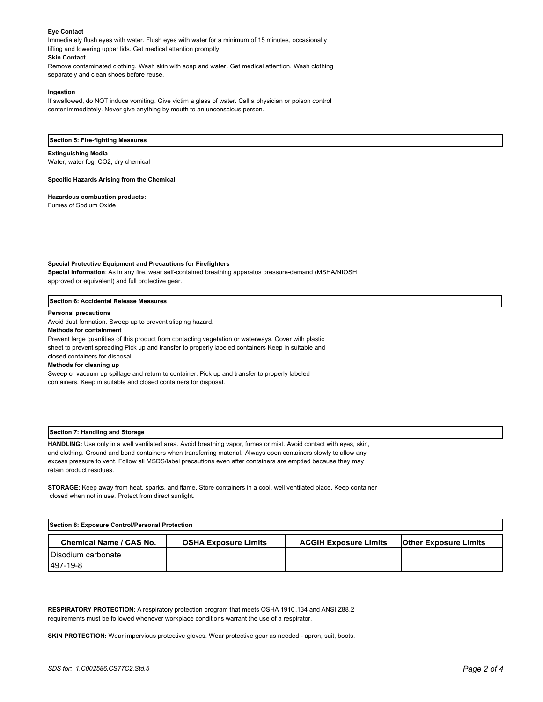## **Eye Contact**

Immediately flush eyes with water. Flush eyes with water for a minimum of 15 minutes, occasionally lifting and lowering upper lids. Get medical attention promptly.

#### **Skin Contact**

Remove contaminated clothing. Wash skin with soap and water. Get medical attention. Wash clothing separately and clean shoes before reuse.

#### **Ingestion**

If swallowed, do NOT induce vomiting. Give victim a glass of water. Call a physician or poison control center immediately. Never give anything by mouth to an unconscious person.

#### **Section 5: Fire-fighting Measures**

#### **Extinguishing Media**

Water, water fog, CO2, dry chemical

#### **Specific Hazards Arising from the Chemical**

### **Hazardous combustion products:**

Fumes of Sodium Oxide

#### **Special Protective Equipment and Precautions for Firefighters**

**Special Information**: As in any fire, wear self-contained breathing apparatus pressure-demand (MSHA/NIOSH approved or equivalent) and full protective gear.

#### **Section 6: Accidental Release Measures**

#### **Personal precautions**

Avoid dust formation. Sweep up to prevent slipping hazard.

## **Methods for containment**

Prevent large quantities of this product from contacting vegetation or waterways. Cover with plastic sheet to prevent spreading Pick up and transfer to properly labeled containers Keep in suitable and

# closed containers for disposal

# **Methods for cleaning up**

Sweep or vacuum up spillage and return to container. Pick up and transfer to properly labeled containers. Keep in suitable and closed containers for disposal.

## **Section 7: Handling and Storage**

**HANDLING:** Use only in a well ventilated area. Avoid breathing vapor, fumes or mist. Avoid contact with eyes, skin, and clothing. Ground and bond containers when transferring material. Always open containers slowly to allow any excess pressure to vent. Follow all MSDS/label precautions even after containers are emptied because they may retain product residues.

**STORAGE:** Keep away from heat, sparks, and flame. Store containers in a cool, well ventilated place. Keep container closed when not in use. Protect from direct sunlight.

| Section 8: Exposure Control/Personal Protection |                             |                              |                              |  |  |  |  |
|-------------------------------------------------|-----------------------------|------------------------------|------------------------------|--|--|--|--|
| <b>Chemical Name / CAS No.</b>                  | <b>OSHA Exposure Limits</b> | <b>ACGIH Exposure Limits</b> | <b>Other Exposure Limits</b> |  |  |  |  |
| Disodium carbonate                              |                             |                              |                              |  |  |  |  |
| 1497-19-8                                       |                             |                              |                              |  |  |  |  |

**RESPIRATORY PROTECTION:** A respiratory protection program that meets OSHA 1910.134 and ANSI Z88.2 requirements must be followed whenever workplace conditions warrant the use of a respirator.

**SKIN PROTECTION:** Wear impervious protective gloves. Wear protective gear as needed - apron, suit, boots.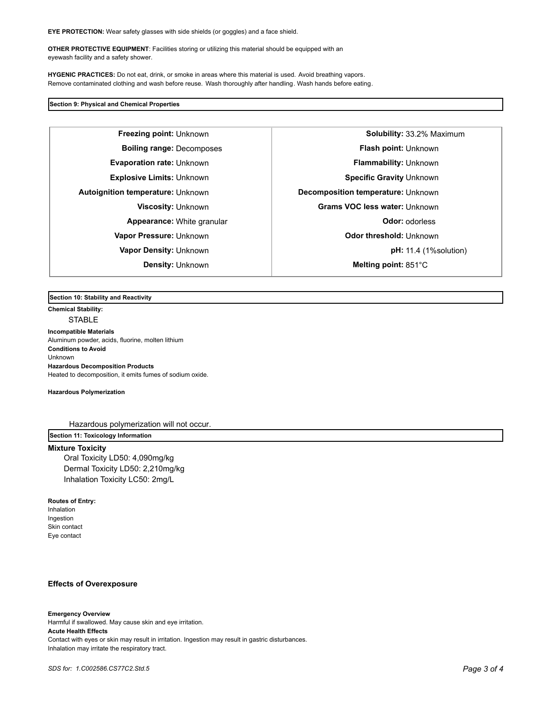**EYE PROTECTION:** Wear safety glasses with side shields (or goggles) and a face shield.

**OTHER PROTECTIVE EQUIPMENT**: Facilities storing or utilizing this material should be equipped with an eyewash facility and a safety shower.

**HYGENIC PRACTICES:** Do not eat, drink, or smoke in areas where this material is used. Avoid breathing vapors. Remove contaminated clothing and wash before reuse. Wash thoroughly after handling. Wash hands before eating.

## **Section 9: Physical and Chemical Properties**

**Autoignition temperature:** Unknown **Decomposition temperature:** Unknown

**Freezing point:** Unknown **Solubility:** 33.2% Maximum **Boiling range:** Decomposes **Flash point:** Unknown **Evaporation rate:** Unknown **Flammability:** Unknown **Explosive Limits: Unknown <b>Specific Gravity** Unknown **Specific Gravity** Unknown **Viscosity:** Unknown **Grams VOC less water:** Unknown **Appearance:** White granular **CODO EXECUTE:** Odor: odorless **Vapor Pressure:** Unknown **Odor threshold:** Unknown **Vapor Density:** Unknown **pH:** 11.4 (1%solution) **Density:** Unknown **Melting point:** 851°C

**Section 10: Stability and Reactivity** 

**Chemical Stability: STABLE** 

**Incompatible Materials**  Aluminum powder, acids, fluorine, molten lithium **Conditions to Avoid** Unknown **Hazardous Decomposition Products** Heated to decomposition, it emits fumes of sodium oxide.

**Hazardous Polymerization**

Hazardous polymerization will not occur.

**Section 11: Toxicology Information**

# **Mixture Toxicity**

Oral Toxicity LD50: 4,090mg/kg Dermal Toxicity LD50: 2,210mg/kg Inhalation Toxicity LC50: 2mg/L

**Routes of Entry:** Inhalation Ingestion Skin contact Eye contact

# **Effects of Overexposure**

**Emergency Overview** Harmful if swallowed. May cause skin and eye irritation. **Acute Health Effects** Contact with eyes or skin may result in irritation. Ingestion may result in gastric disturbances. Inhalation may irritate the respiratory tract.